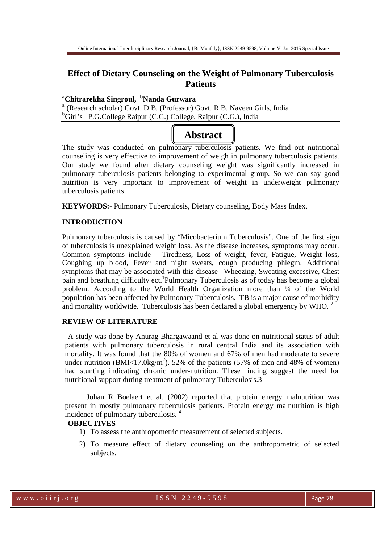## **Effect of Dietary Counseling on the Weight of Pulmonary Tuberculosis Patients**

## **<sup>a</sup>Chitrarekha Singroul, <sup>b</sup>Nanda Gurwara**

<sup>a</sup> (Research scholar) Govt. D.B. (Professor) Govt. R.B. Naveen Girls, India **<sup>b</sup>**Girl's P.G.College Raipur (C.G.) College, Raipur (C.G.), India



The study was conducted on pulmonary tuberculosis patients. We find out nutritional counseling is very effective to improvement of weigh in pulmonary tuberculosis patients. Our study we found after dietary counseling weight was significantly increased in pulmonary tuberculosis patients belonging to experimental group. So we can say good nutrition is very important to improvement of weight in underweight pulmonary tuberculosis patients.

**KEYWORDS:**- Pulmonary Tuberculosis, Dietary counseling, Body Mass Index.

#### **INTRODUCTION**

Pulmonary tuberculosis is caused by "Micobacterium Tuberculosis". One of the first sign of tuberculosis is unexplained weight loss. As the disease increases, symptoms may occur. Common symptoms include – Tiredness, Loss of weight, fever, Fatigue, Weight loss, Coughing up blood, Fever and night sweats, cough producing phlegm. Additional symptoms that may be associated with this disease –Wheezing, Sweating excessive, Chest pain and breathing difficulty ect.<sup>1</sup>Pulmonary Tuberculosis as of today has become a global problem. According to the World Health Organization more than ¼ of the World population has been affected by Pulmonary Tuberculosis. TB is a major cause of morbidity and mortality worldwide. Tuberculosis has been declared a global emergency by WHO.<sup>2</sup>

## **REVIEW OF LITERATURE**

A study was done by Anurag Bhargawaand et al was done on nutritional status of adult patients with pulmonary tuberculosis in rural central India and its association with mortality. It was found that the 80% of women and 67% of men had moderate to severe under-nutrition (BMI<17.0kg/m<sup>2</sup>). 52% of the patients (57% of men and 48% of women) had stunting indicating chronic under-nutrition. These finding suggest the need for nutritional support during treatment of pulmonary Tuberculosis.3

 Johan R Boelaert et al. (2002) reported that protein energy malnutrition was present in mostly pulmonary tuberculosis patients. Protein energy malnutrition is high incidence of pulmonary tuberculosis. <sup>4</sup>

#### **OBJECTIVES**

- 1) To assess the anthropometric measurement of selected subjects.
- 2) To measure effect of dietary counseling on the anthropometric of selected subjects.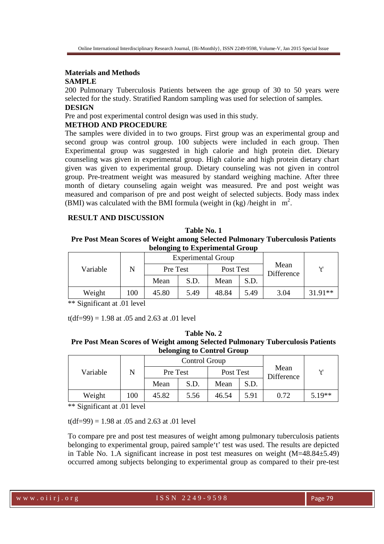# **Materials and Methods**

# **SAMPLE**

200 Pulmonary Tuberculosis Patients between the age group of 30 to 50 years were selected for the study. Stratified Random sampling was used for selection of samples. **DESIGN** 

Pre and post experimental control design was used in this study.

### **METHOD AND PROCEDURE**

The samples were divided in to two groups. First group was an experimental group and second group was control group. 100 subjects were included in each group. Then Experimental group was suggested in high calorie and high protein diet. Dietary counseling was given in experimental group. High calorie and high protein dietary chart given was given to experimental group. Dietary counseling was not given in control group. Pre-treatment weight was measured by standard weighing machine. After three month of dietary counseling again weight was measured. Pre and post weight was measured and comparison of pre and post weight of selected subjects. Body mass index (BMI) was calculated with the BMI formula (weight in  $(kg)$  /height in  $m^2$ .

#### **RESULT AND DISCUSSION**

#### **Table No. 1**

#### **Pre Post Mean Scores of Weight among Selected Pulmonary Tuberculosis Patients belonging to Experimental Group**

|          |     | <b>Experimental Group</b> |      |           |      |                    |           |
|----------|-----|---------------------------|------|-----------|------|--------------------|-----------|
| Variable |     | Pre Test                  |      | Post Test |      | Mean<br>Difference | 141       |
|          |     | Mean                      | S.D. | Mean      | S.D. |                    |           |
| Weight   | 100 | 45.80                     | 5.49 | 48.84     | 5.49 | 3.04               | $31.91**$ |

\*\* Significant at .01 level

 $t(df=99) = 1.98$  at 0.05 and 2.63 at 0.01 level

#### **Table No. 2 Pre Post Mean Scores of Weight among Selected Pulmonary Tuberculosis Patients belonging to Control Group**

| Variable |     | Control Group |      |           |      |                    |          |
|----------|-----|---------------|------|-----------|------|--------------------|----------|
|          |     | Pre Test      |      | Post Test |      | Mean<br>Difference | اءا      |
|          |     | Mean          | S.D. | Mean      | S.D. |                    |          |
| Weight   | 100 | 45.82         | 5.56 | 46.54     | 5.91 | 0.72               | $5.19**$ |

\*\* Significant at .01 level

 $t(df=99) = 1.98$  at 0.05 and 2.63 at 0.01 level

To compare pre and post test measures of weight among pulmonary tuberculosis patients belonging to experimental group, paired sample't' test was used. The results are depicted in Table No. 1.A significant increase in post test measures on weight (M=48.84±5.49) occurred among subjects belonging to experimental group as compared to their pre-test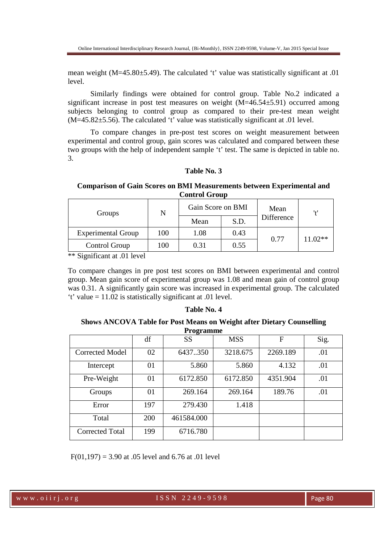mean weight (M=45.80±5.49). The calculated 't' value was statistically significant at .01 level.

Similarly findings were obtained for control group. Table No.2 indicated a significant increase in post test measures on weight (M=46.54±5.91) occurred among subjects belonging to control group as compared to their pre-test mean weight (M=45.82±5.56). The calculated 't' value was statistically significant at .01 level.

To compare changes in pre-post test scores on weight measurement between experimental and control group, gain scores was calculated and compared between these two groups with the help of independent sample 't' test. The same is depicted in table no. 3.

#### **Table No. 3**

**Comparison of Gain Scores on BMI Measurements between Experimental and Control Group** 

| Groups                    | N   |      | Gain Score on BMI<br>Mean |                   | '+'       |
|---------------------------|-----|------|---------------------------|-------------------|-----------|
|                           |     | Mean | S.D.                      | <b>Difference</b> |           |
| <b>Experimental Group</b> | 100 | 1.08 | 0.43                      | 0.77              | $11.02**$ |
| Control Group             | 100 | 0.31 | 0.55                      |                   |           |

\*\* Significant at .01 level

To compare changes in pre post test scores on BMI between experimental and control group. Mean gain score of experimental group was 1.08 and mean gain of control group was 0.31. A significantly gain score was increased in experimental group. The calculated 't' value = 11.02 is statistically significant at .01 level.

## **Table No. 4**

**Shows ANCOVA Table for Post Means on Weight after Dietary Counselling Programme** 

|                        | df         | $\overline{\phantom{a}}$<br><b>SS</b> | <b>MSS</b> | F        | Sig. |
|------------------------|------------|---------------------------------------|------------|----------|------|
| <b>Corrected Model</b> | 02         | 6437.350                              | 3218.675   | 2269.189 | .01  |
| Intercept              | 01         | 5.860                                 | 5.860      | 4.132    | .01  |
| Pre-Weight             | 01         | 6172.850                              | 6172.850   | 4351.904 | .01  |
| Groups                 | 01         | 269.164                               | 269.164    | 189.76   | .01  |
| Error                  | 197        | 279.430                               | 1.418      |          |      |
| Total                  | <b>200</b> | 461584.000                            |            |          |      |
| <b>Corrected Total</b> | 199        | 6716.780                              |            |          |      |

 $F(01.197) = 3.90$  at .05 level and 6.76 at .01 level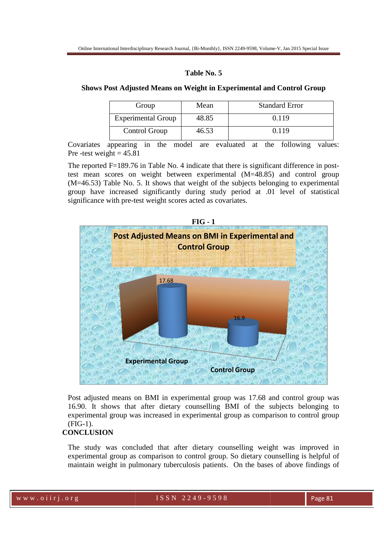#### **Table No. 5**

#### **Shows Post Adjusted Means on Weight in Experimental and Control Group**

| Group                     | Mean  | <b>Standard Error</b> |
|---------------------------|-------|-----------------------|
| <b>Experimental Group</b> | 48.85 | 0.119                 |
| Control Group             | 46.53 | 0.119                 |

Covariates appearing in the model are evaluated at the following values: Pre-test weight  $= 45.81$ Covariates appearing in the model are evaluated at the following values:<br>Pre-test weight =  $45.81$ <br>The reported F=189.76 in Table No. 4 indicate that there is significant difference in post-

test mean scores on weight between experimental (M=48.85) and control group test mean scores on weight between experimental  $(M=48.85)$  and control group  $(M=46.53)$  Table No. 5. It shows that weight of the subjects belonging to experimental group have increased significantly during study period at .01 level of statistical significance with pre-test weight scores acted as covariates.



Post adjusted means on BMI in experimental group was 17.68 and control group was 16.90. It shows that after dietary counselling BMI of the subjects belo experimental group was increased in experimental group as comparison to control group (FIG-1).

#### **CONCLUSION**

The study was concluded that after dietary counselling weight was improved in experimental group as comparison to control group. So dietary counselling is helpful of maintain weight in pulmonary tuberculosis patients. On the bases of above findings of